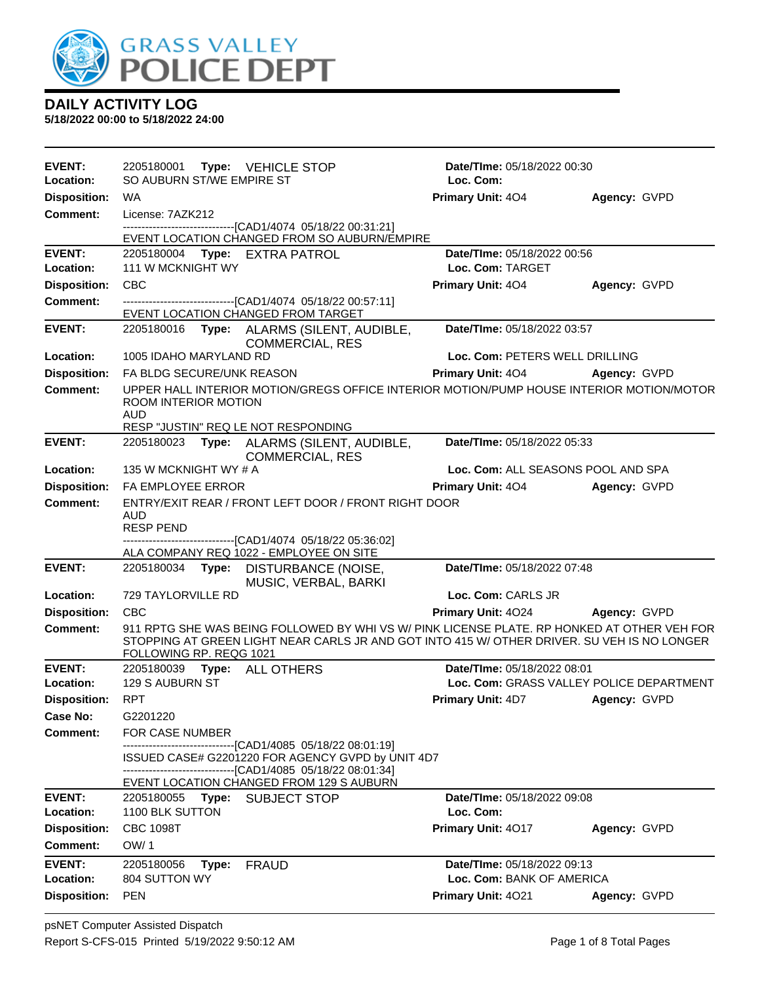

| <b>EVENT:</b><br>Location:          | 2205180001 Type: VEHICLE STOP<br>SO AUBURN ST/WE EMPIRE ST                                               |                                                                     | Date/TIme: 05/18/2022 00:30<br>Loc. Com:                                                                                                                                                   |              |
|-------------------------------------|----------------------------------------------------------------------------------------------------------|---------------------------------------------------------------------|--------------------------------------------------------------------------------------------------------------------------------------------------------------------------------------------|--------------|
| <b>Disposition:</b>                 | WA                                                                                                       |                                                                     | <b>Primary Unit: 404</b>                                                                                                                                                                   | Agency: GVPD |
| <b>Comment:</b>                     | License: 7AZK212                                                                                         |                                                                     |                                                                                                                                                                                            |              |
|                                     | -------------------------------[CAD1/4074 05/18/22 00:31:21]                                             |                                                                     |                                                                                                                                                                                            |              |
|                                     |                                                                                                          | EVENT LOCATION CHANGED FROM SO AUBURN/EMPIRE                        |                                                                                                                                                                                            |              |
| <b>EVENT:</b><br>Location:          | 2205180004 Type: EXTRA PATROL<br>111 W MCKNIGHT WY                                                       |                                                                     | Date/TIme: 05/18/2022 00:56<br>Loc. Com: TARGET                                                                                                                                            |              |
| <b>Disposition:</b>                 | <b>CBC</b>                                                                                               |                                                                     | <b>Primary Unit: 404</b>                                                                                                                                                                   | Agency: GVPD |
| Comment:                            | -------------------------------[CAD1/4074 05/18/22 00:57:11]                                             |                                                                     |                                                                                                                                                                                            |              |
|                                     | EVENT LOCATION CHANGED FROM TARGET                                                                       |                                                                     |                                                                                                                                                                                            |              |
| <b>EVENT:</b>                       |                                                                                                          | 2205180016 Type: ALARMS (SILENT, AUDIBLE,<br><b>COMMERCIAL, RES</b> | Date/TIme: 05/18/2022 03:57                                                                                                                                                                |              |
| Location:                           | 1005 IDAHO MARYLAND RD                                                                                   |                                                                     | Loc. Com: PETERS WELL DRILLING                                                                                                                                                             |              |
| <b>Disposition:</b>                 | FA BLDG SECURE/UNK REASON                                                                                |                                                                     | <b>Primary Unit: 404</b>                                                                                                                                                                   | Agency: GVPD |
| <b>Comment:</b>                     | ROOM INTERIOR MOTION<br><b>AUD</b><br>RESP "JUSTIN" REQ LE NOT RESPONDING                                |                                                                     | UPPER HALL INTERIOR MOTION/GREGS OFFICE INTERIOR MOTION/PUMP HOUSE INTERIOR MOTION/MOTOR                                                                                                   |              |
| <b>EVENT:</b>                       | 2205180023                                                                                               | Type: ALARMS (SILENT, AUDIBLE,                                      | Date/TIme: 05/18/2022 05:33                                                                                                                                                                |              |
| Location:                           | 135 W MCKNIGHT WY # A                                                                                    | <b>COMMERCIAL, RES</b>                                              | Loc. Com: ALL SEASONS POOL AND SPA                                                                                                                                                         |              |
| <b>Disposition:</b>                 | <b>FA EMPLOYEE ERROR</b>                                                                                 |                                                                     | Primary Unit: 404 Agency: GVPD                                                                                                                                                             |              |
| <b>Comment:</b>                     | <b>AUD</b><br><b>RESP PEND</b><br>-------------------------------[CAD1/4074 05/18/22 05:36:02]           | ENTRY/EXIT REAR / FRONT LEFT DOOR / FRONT RIGHT DOOR                |                                                                                                                                                                                            |              |
|                                     | ALA COMPANY REQ 1022 - EMPLOYEE ON SITE                                                                  |                                                                     |                                                                                                                                                                                            |              |
| <b>EVENT:</b>                       | 2205180034 Type: DISTURBANCE (NOISE,                                                                     | MUSIC, VERBAL, BARKI                                                | Date/TIme: 05/18/2022 07:48                                                                                                                                                                |              |
| Location:                           | 729 TAYLORVILLE RD                                                                                       |                                                                     | Loc. Com: CARLS JR                                                                                                                                                                         |              |
| <b>Disposition:</b>                 | <b>CBC</b>                                                                                               |                                                                     | Primary Unit: 4024 Agency: GVPD                                                                                                                                                            |              |
| Comment:                            | FOLLOWING RP. REQG 1021                                                                                  |                                                                     | 911 RPTG SHE WAS BEING FOLLOWED BY WHI VS W/ PINK LICENSE PLATE. RP HONKED AT OTHER VEH FOR<br>STOPPING AT GREEN LIGHT NEAR CARLS JR AND GOT INTO 415 W/ OTHER DRIVER. SU VEH IS NO LONGER |              |
| <b>EVENT:</b>                       | 2205180039<br><b>Type: ALL OTHERS</b>                                                                    |                                                                     | Date/TIme: 05/18/2022 08:01                                                                                                                                                                |              |
| Location:                           | 129 S AUBURN ST                                                                                          |                                                                     | Loc. Com: GRASS VALLEY POLICE DEPARTMENT                                                                                                                                                   |              |
| Disposition: RPT<br><b>Case No:</b> |                                                                                                          |                                                                     | <b>Primary Unit: 4D7</b>                                                                                                                                                                   | Agency: GVPD |
| <b>Comment:</b>                     | G2201220<br><b>FOR CASE NUMBER</b>                                                                       |                                                                     |                                                                                                                                                                                            |              |
|                                     | -------------------------------[CAD1/4085 05/18/22 08:01:19]                                             | ISSUED CASE# G2201220 FOR AGENCY GVPD by UNIT 4D7                   |                                                                                                                                                                                            |              |
|                                     | -------------------------------[CAD1/4085 05/18/22 08:01:34]<br>EVENT LOCATION CHANGED FROM 129 S AUBURN |                                                                     |                                                                                                                                                                                            |              |
| <b>EVENT:</b><br>Location:          | 2205180055<br>1100 BLK SUTTON                                                                            | Type: SUBJECT STOP                                                  | Date/TIme: 05/18/2022 09:08<br>Loc. Com:                                                                                                                                                   |              |
| <b>Disposition:</b>                 | <b>CBC 1098T</b>                                                                                         |                                                                     | Primary Unit: 4017                                                                                                                                                                         | Agency: GVPD |
| <b>Comment:</b>                     | OW/1                                                                                                     |                                                                     |                                                                                                                                                                                            |              |
|                                     |                                                                                                          |                                                                     |                                                                                                                                                                                            |              |
| <b>EVENT:</b>                       | Type:                                                                                                    |                                                                     | Date/TIme: 05/18/2022 09:13                                                                                                                                                                |              |
| Location:                           | 2205180056<br>804 SUTTON WY                                                                              | <b>FRAUD</b>                                                        | Loc. Com: BANK OF AMERICA                                                                                                                                                                  |              |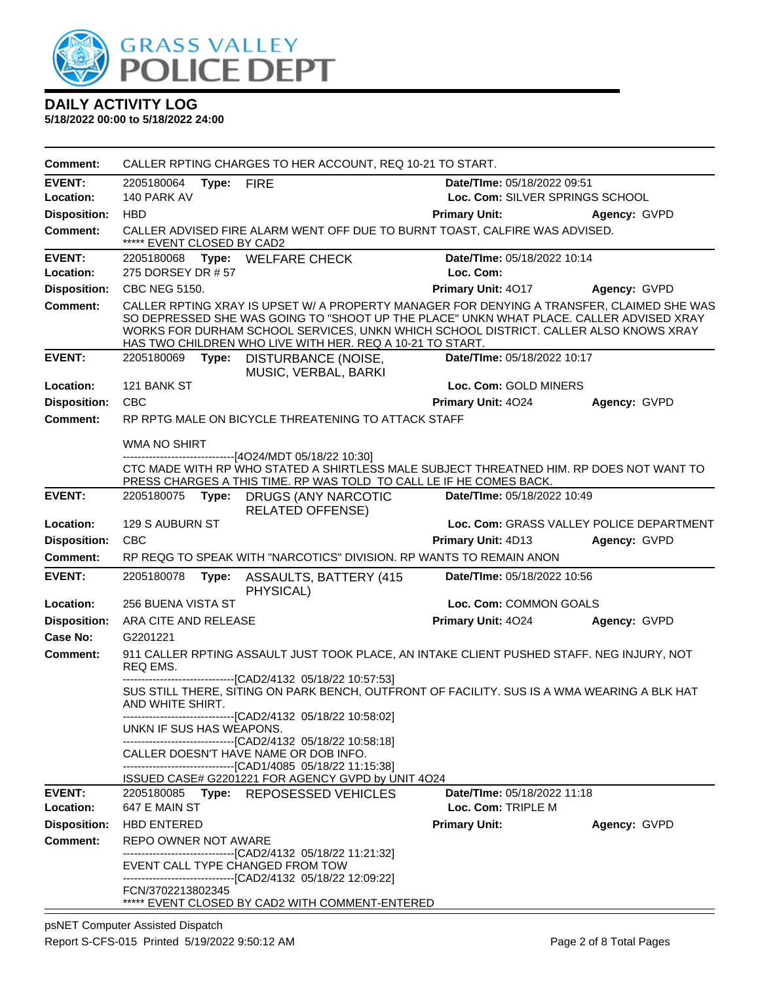

**5/18/2022 00:00 to 5/18/2022 24:00**

| <b>Comment:</b>            | CALLER RPTING CHARGES TO HER ACCOUNT, REQ 10-21 TO START.                                                                                                                                                                                                                                                                                 |                                                   |                                          |  |  |
|----------------------------|-------------------------------------------------------------------------------------------------------------------------------------------------------------------------------------------------------------------------------------------------------------------------------------------------------------------------------------------|---------------------------------------------------|------------------------------------------|--|--|
| <b>EVENT:</b>              | Date/TIme: 05/18/2022 09:51<br>2205180064<br>Type:<br><b>FIRE</b>                                                                                                                                                                                                                                                                         |                                                   |                                          |  |  |
| Location:                  | 140 PARK AV                                                                                                                                                                                                                                                                                                                               | Loc. Com: SILVER SPRINGS SCHOOL                   |                                          |  |  |
| <b>Disposition:</b>        | <b>HBD</b>                                                                                                                                                                                                                                                                                                                                | <b>Primary Unit:</b>                              | Agency: GVPD                             |  |  |
| Comment:                   | CALLER ADVISED FIRE ALARM WENT OFF DUE TO BURNT TOAST, CALFIRE WAS ADVISED.<br>***** EVENT CLOSED BY CAD2                                                                                                                                                                                                                                 |                                                   |                                          |  |  |
| <b>EVENT:</b>              | <b>WELFARE CHECK</b><br>2205180068<br>Type:                                                                                                                                                                                                                                                                                               | Date/TIme: 05/18/2022 10:14                       |                                          |  |  |
| Location:                  | 275 DORSEY DR # 57                                                                                                                                                                                                                                                                                                                        | Loc. Com:                                         |                                          |  |  |
| <b>Disposition:</b>        | <b>CBC NEG 5150.</b>                                                                                                                                                                                                                                                                                                                      | Primary Unit: 4017                                | Agency: GVPD                             |  |  |
| <b>Comment:</b>            | CALLER RPTING XRAY IS UPSET W/ A PROPERTY MANAGER FOR DENYING A TRANSFER, CLAIMED SHE WAS<br>SO DEPRESSED SHE WAS GOING TO "SHOOT UP THE PLACE" UNKN WHAT PLACE. CALLER ADVISED XRAY<br>WORKS FOR DURHAM SCHOOL SERVICES, UNKN WHICH SCHOOL DISTRICT. CALLER ALSO KNOWS XRAY<br>HAS TWO CHILDREN WHO LIVE WITH HER. REQ A 10-21 TO START. |                                                   |                                          |  |  |
| <b>EVENT:</b>              | 2205180069<br>Type:<br>DISTURBANCE (NOISE,<br>MUSIC, VERBAL, BARKI                                                                                                                                                                                                                                                                        | Date/TIme: 05/18/2022 10:17                       |                                          |  |  |
| Location:                  | 121 BANK ST                                                                                                                                                                                                                                                                                                                               | Loc. Com: GOLD MINERS                             |                                          |  |  |
| <b>Disposition:</b>        | CBC                                                                                                                                                                                                                                                                                                                                       | Primary Unit: 4024                                | Agency: GVPD                             |  |  |
| <b>Comment:</b>            | RP RPTG MALE ON BICYCLE THREATENING TO ATTACK STAFF                                                                                                                                                                                                                                                                                       |                                                   |                                          |  |  |
|                            | <b>WMA NO SHIRT</b>                                                                                                                                                                                                                                                                                                                       |                                                   |                                          |  |  |
|                            | -----------------------[4O24/MDT 05/18/22 10:30]<br>CTC MADE WITH RP WHO STATED A SHIRTLESS MALE SUBJECT THREATNED HIM. RP DOES NOT WANT TO<br>PRESS CHARGES A THIS TIME. RP WAS TOLD TO CALL LE IF HE COMES BACK.                                                                                                                        |                                                   |                                          |  |  |
| <b>EVENT:</b>              | 2205180075<br><b>DRUGS (ANY NARCOTIC</b><br>Type:<br><b>RELATED OFFENSE)</b>                                                                                                                                                                                                                                                              | Date/TIme: 05/18/2022 10:49                       |                                          |  |  |
| Location:                  | 129 S AUBURN ST                                                                                                                                                                                                                                                                                                                           |                                                   | Loc. Com: GRASS VALLEY POLICE DEPARTMENT |  |  |
| <b>Disposition:</b>        | <b>CBC</b>                                                                                                                                                                                                                                                                                                                                | <b>Primary Unit: 4D13</b>                         | Agency: GVPD                             |  |  |
| Comment:                   | RP REQG TO SPEAK WITH "NARCOTICS" DIVISION. RP WANTS TO REMAIN ANON                                                                                                                                                                                                                                                                       |                                                   |                                          |  |  |
| <b>EVENT:</b>              | 2205180078<br>Type:<br><b>ASSAULTS, BATTERY (415)</b><br>PHYSICAL)                                                                                                                                                                                                                                                                        | Date/TIme: 05/18/2022 10:56                       |                                          |  |  |
| Location:                  | 256 BUENA VISTA ST                                                                                                                                                                                                                                                                                                                        | Loc. Com: COMMON GOALS                            |                                          |  |  |
| <b>Disposition:</b>        | ARA CITE AND RELEASE                                                                                                                                                                                                                                                                                                                      | Primary Unit: 4024                                | Agency: GVPD                             |  |  |
| Case No:                   | G2201221                                                                                                                                                                                                                                                                                                                                  |                                                   |                                          |  |  |
| <b>Comment:</b>            | 911 CALLER RPTING ASSAULT JUST TOOK PLACE, AN INTAKE CLIENT PUSHED STAFF. NEG INJURY, NOT<br>REQ EMS.                                                                                                                                                                                                                                     |                                                   |                                          |  |  |
|                            | -----------------[CAD2/4132 05/18/22 10:57:53]<br>SUS STILL THERE, SITING ON PARK BENCH, OUTFRONT OF FACILITY. SUS IS A WMA WEARING A BLK HAT<br>AND WHITE SHIRT.<br>--------------------------------[CAD2/4132 05/18/22 10:58:02]                                                                                                        |                                                   |                                          |  |  |
|                            | UNKN IF SUS HAS WEAPONS.<br>--------------------------------[CAD2/4132 05/18/22 10:58:18]                                                                                                                                                                                                                                                 |                                                   |                                          |  |  |
|                            | CALLER DOESN'T HAVE NAME OR DOB INFO.<br>--------------------------------[CAD1/4085 05/18/22 11:15:38]                                                                                                                                                                                                                                    |                                                   |                                          |  |  |
|                            | ISSUED CASE# G2201221 FOR AGENCY GVPD by UNIT 4O24                                                                                                                                                                                                                                                                                        |                                                   |                                          |  |  |
| <b>EVENT:</b><br>Location: | 2205180085 Type: REPOSESSED VEHICLES<br>647 E MAIN ST                                                                                                                                                                                                                                                                                     | Date/TIme: 05/18/2022 11:18<br>Loc. Com: TRIPLE M |                                          |  |  |
| <b>Disposition:</b>        | <b>HBD ENTERED</b>                                                                                                                                                                                                                                                                                                                        | <b>Primary Unit:</b>                              | Agency: GVPD                             |  |  |
| Comment:                   | <b>REPO OWNER NOT AWARE</b>                                                                                                                                                                                                                                                                                                               |                                                   |                                          |  |  |
|                            | ------------------------------[CAD2/4132 05/18/22 11:21:32]<br>EVENT CALL TYPE CHANGED FROM TOW                                                                                                                                                                                                                                           |                                                   |                                          |  |  |
|                            | -------------------------------[CAD2/4132 05/18/22 12:09:22]                                                                                                                                                                                                                                                                              |                                                   |                                          |  |  |
|                            | FCN/3702213802345<br>***** EVENT CLOSED BY CAD2 WITH COMMENT-ENTERED                                                                                                                                                                                                                                                                      |                                                   |                                          |  |  |

psNET Computer Assisted Dispatch Report S-CFS-015 Printed 5/19/2022 9:50:12 AM Page 2 of 8 Total Pages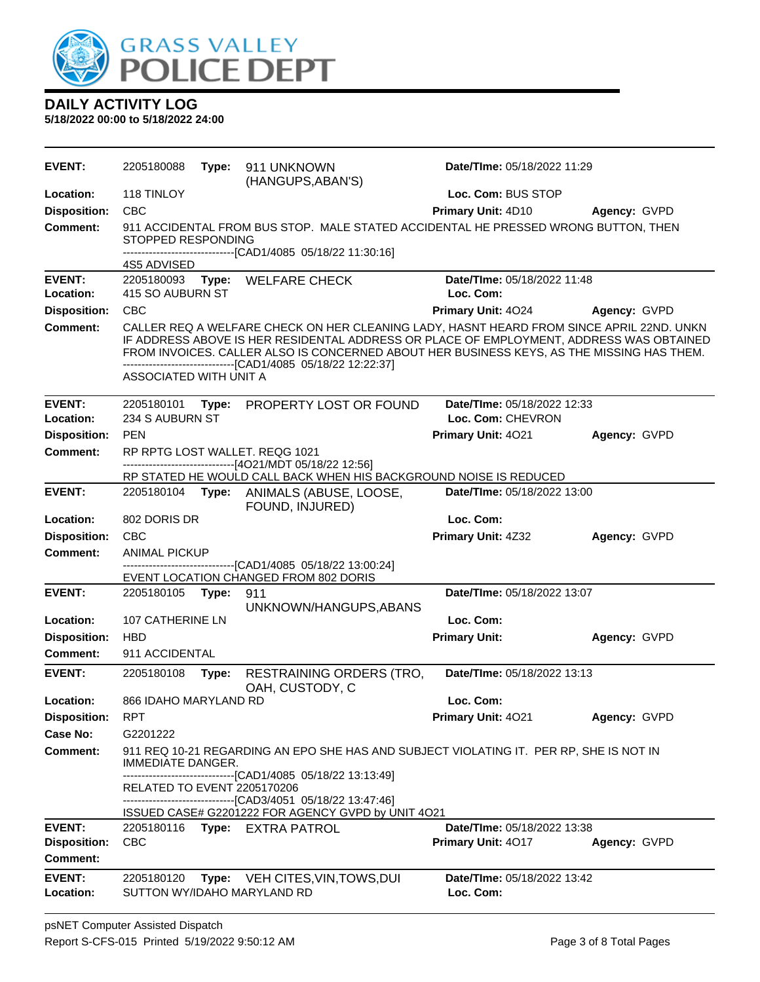

| <b>EVENT:</b>              | 2205180088                    | Type: | 911 UNKNOWN<br>(HANGUPS, ABAN'S)                                                                                                                                                                                                                                                                                                                 | <b>Date/Time: 05/18/2022 11:29</b>               |              |
|----------------------------|-------------------------------|-------|--------------------------------------------------------------------------------------------------------------------------------------------------------------------------------------------------------------------------------------------------------------------------------------------------------------------------------------------------|--------------------------------------------------|--------------|
| Location:                  | 118 TINLOY                    |       |                                                                                                                                                                                                                                                                                                                                                  | Loc. Com: BUS STOP                               |              |
| <b>Disposition:</b>        | <b>CBC</b>                    |       |                                                                                                                                                                                                                                                                                                                                                  | Primary Unit: 4D10                               | Agency: GVPD |
| <b>Comment:</b>            | STOPPED RESPONDING            |       | 911 ACCIDENTAL FROM BUS STOP. MALE STATED ACCIDENTAL HE PRESSED WRONG BUTTON, THEN                                                                                                                                                                                                                                                               |                                                  |              |
|                            | 4S5 ADVISED                   |       | ------------------------------[CAD1/4085 05/18/22 11:30:16]                                                                                                                                                                                                                                                                                      |                                                  |              |
| <b>EVENT:</b><br>Location: | 415 SO AUBURN ST              |       | 2205180093 Type: WELFARE CHECK                                                                                                                                                                                                                                                                                                                   | Date/TIme: 05/18/2022 11:48<br>Loc. Com:         |              |
| <b>Disposition:</b>        | <b>CBC</b>                    |       |                                                                                                                                                                                                                                                                                                                                                  | Primary Unit: 4024                               | Agency: GVPD |
| <b>Comment:</b>            | ASSOCIATED WITH UNIT A        |       | CALLER REQ A WELFARE CHECK ON HER CLEANING LADY, HASNT HEARD FROM SINCE APRIL 22ND. UNKN<br>IF ADDRESS ABOVE IS HER RESIDENTAL ADDRESS OR PLACE OF EMPLOYMENT, ADDRESS WAS OBTAINED<br>FROM INVOICES. CALLER ALSO IS CONCERNED ABOUT HER BUSINESS KEYS, AS THE MISSING HAS THEM.<br>-------------------------------[CAD1/4085 05/18/22 12:22:37] |                                                  |              |
| <b>EVENT:</b><br>Location: | 2205180101<br>234 S AUBURN ST |       | Type: PROPERTY LOST OR FOUND                                                                                                                                                                                                                                                                                                                     | Date/TIme: 05/18/2022 12:33<br>Loc. Com: CHEVRON |              |
| <b>Disposition:</b>        | <b>PEN</b>                    |       |                                                                                                                                                                                                                                                                                                                                                  | Primary Unit: 4021                               | Agency: GVPD |
| Comment:                   |                               |       | RP RPTG LOST WALLET. REQG 1021<br>------------------------------[4O21/MDT 05/18/22 12:56]                                                                                                                                                                                                                                                        |                                                  |              |
| <b>EVENT:</b>              |                               |       | RP STATED HE WOULD CALL BACK WHEN HIS BACKGROUND NOISE IS REDUCED<br>2205180104 Type: ANIMALS (ABUSE, LOOSE,                                                                                                                                                                                                                                     | Date/TIme: 05/18/2022 13:00                      |              |
|                            |                               |       | FOUND, INJURED)                                                                                                                                                                                                                                                                                                                                  |                                                  |              |
| Location:                  | 802 DORIS DR                  |       |                                                                                                                                                                                                                                                                                                                                                  | Loc. Com:                                        |              |
| <b>Disposition:</b>        | <b>CBC</b>                    |       |                                                                                                                                                                                                                                                                                                                                                  | Primary Unit: 4Z32                               | Agency: GVPD |
| <b>Comment:</b>            | <b>ANIMAL PICKUP</b>          |       |                                                                                                                                                                                                                                                                                                                                                  |                                                  |              |
|                            |                               |       | -------------------------------[CAD1/4085 05/18/22 13:00:24]<br>EVENT LOCATION CHANGED FROM 802 DORIS                                                                                                                                                                                                                                            |                                                  |              |
| <b>EVENT:</b>              | 2205180105                    | Type: | 911                                                                                                                                                                                                                                                                                                                                              | Date/TIme: 05/18/2022 13:07                      |              |
|                            |                               |       | UNKNOWN/HANGUPS, ABANS                                                                                                                                                                                                                                                                                                                           |                                                  |              |
| Location:                  | 107 CATHERINE LN              |       |                                                                                                                                                                                                                                                                                                                                                  | Loc. Com:                                        |              |
| <b>Disposition:</b>        | <b>HBD</b>                    |       |                                                                                                                                                                                                                                                                                                                                                  | <b>Primary Unit:</b>                             | Agency: GVPD |
| Comment:                   | 911 ACCIDENTAL                |       |                                                                                                                                                                                                                                                                                                                                                  |                                                  |              |
| <b>EVENT:</b>              | 2205180108                    | Type: | <b>RESTRAINING ORDERS (TRO,</b><br>OAH, CUSTODY, C                                                                                                                                                                                                                                                                                               | Date/TIme: 05/18/2022 13:13                      |              |
| Location:                  | 866 IDAHO MARYLAND RD         |       |                                                                                                                                                                                                                                                                                                                                                  | Loc. Com:                                        |              |
| <b>Disposition:</b>        | <b>RPT</b>                    |       |                                                                                                                                                                                                                                                                                                                                                  | Primary Unit: 4021                               | Agency: GVPD |
| <b>Case No:</b>            | G2201222                      |       |                                                                                                                                                                                                                                                                                                                                                  |                                                  |              |
| Comment:                   | IMMEDIATE DANGER.             |       | 911 REQ 10-21 REGARDING AN EPO SHE HAS AND SUBJECT VIOLATING IT. PER RP, SHE IS NOT IN                                                                                                                                                                                                                                                           |                                                  |              |
|                            |                               |       | ----------------------[CAD1/4085 05/18/22 13:13:49]                                                                                                                                                                                                                                                                                              |                                                  |              |
|                            | RELATED TO EVENT 2205170206   |       | -------------------------------[CAD3/4051_05/18/22 13:47:46]                                                                                                                                                                                                                                                                                     |                                                  |              |
|                            |                               |       | ISSUED CASE# G2201222 FOR AGENCY GVPD by UNIT 4O21                                                                                                                                                                                                                                                                                               |                                                  |              |
| <b>EVENT:</b>              |                               |       | 2205180116 Type: EXTRA PATROL                                                                                                                                                                                                                                                                                                                    | Date/TIme: 05/18/2022 13:38                      |              |
| <b>Disposition:</b>        | <b>CBC</b>                    |       |                                                                                                                                                                                                                                                                                                                                                  | Primary Unit: 4017                               | Agency: GVPD |
| Comment:                   |                               |       |                                                                                                                                                                                                                                                                                                                                                  |                                                  |              |
| <b>EVENT:</b>              | 2205180120                    | Type: | VEH CITES,VIN,TOWS,DUI                                                                                                                                                                                                                                                                                                                           | Date/TIme: 05/18/2022 13:42                      |              |
| Location:                  |                               |       | SUTTON WY/IDAHO MARYLAND RD                                                                                                                                                                                                                                                                                                                      | Loc. Com:                                        |              |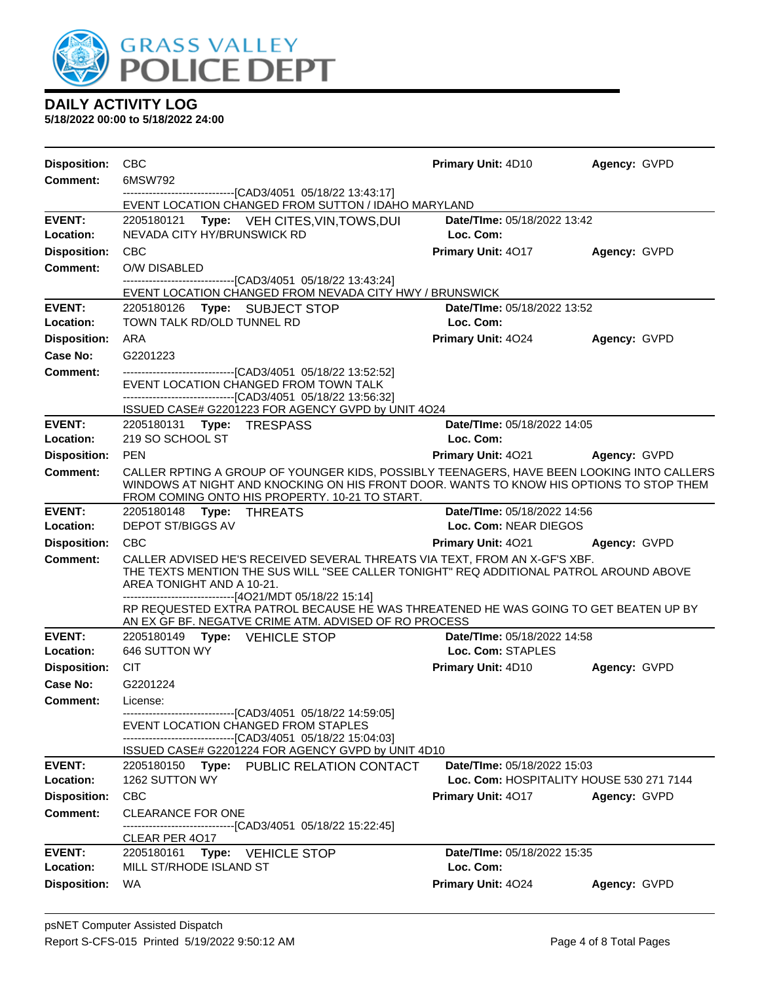

| <b>Disposition:</b>              | <b>CBC</b>                                                                                                                                                                                               | Primary Unit: 4D10                             | Agency: GVPD        |
|----------------------------------|----------------------------------------------------------------------------------------------------------------------------------------------------------------------------------------------------------|------------------------------------------------|---------------------|
| Comment:                         | 6MSW792                                                                                                                                                                                                  |                                                |                     |
|                                  | -------------------------------[CAD3/4051 05/18/22 13:43:17]<br>EVENT LOCATION CHANGED FROM SUTTON / IDAHO MARYLAND                                                                                      |                                                |                     |
| <b>EVENT:</b>                    | Type: VEH CITES, VIN, TOWS, DUI<br>2205180121                                                                                                                                                            | Date/TIme: 05/18/2022 13:42                    |                     |
| Location:                        | NEVADA CITY HY/BRUNSWICK RD                                                                                                                                                                              | Loc. Com:                                      |                     |
| <b>Disposition:</b>              | <b>CBC</b>                                                                                                                                                                                               | <b>Primary Unit: 4017</b>                      | Agency: GVPD        |
| Comment:                         | O/W DISABLED<br>----------------------------------[CAD3/4051 05/18/22 13:43:24]                                                                                                                          |                                                |                     |
|                                  | EVENT LOCATION CHANGED FROM NEVADA CITY HWY / BRUNSWICK                                                                                                                                                  |                                                |                     |
| <b>EVENT:</b>                    | 2205180126 Type: SUBJECT STOP                                                                                                                                                                            | Date/TIme: 05/18/2022 13:52                    |                     |
| Location:                        | TOWN TALK RD/OLD TUNNEL RD                                                                                                                                                                               | Loc. Com:                                      |                     |
| <b>Disposition:</b>              | <b>ARA</b>                                                                                                                                                                                               | <b>Primary Unit: 4024</b>                      | Agency: GVPD        |
| Case No:                         | G2201223                                                                                                                                                                                                 |                                                |                     |
| <b>Comment:</b>                  | ---------------------------------[CAD3/4051 05/18/22 13:52:52]<br>EVENT LOCATION CHANGED FROM TOWN TALK                                                                                                  |                                                |                     |
|                                  | --------------------------------[CAD3/4051 05/18/22 13:56:32]                                                                                                                                            |                                                |                     |
|                                  | ISSUED CASE# G2201223 FOR AGENCY GVPD by UNIT 4O24                                                                                                                                                       |                                                |                     |
| <b>EVENT:</b><br>Location:       | 2205180131 Type: TRESPASS<br>219 SO SCHOOL ST                                                                                                                                                            | Date/TIme: 05/18/2022 14:05<br>Loc. Com:       |                     |
| <b>Disposition:</b>              | <b>PEN</b>                                                                                                                                                                                               | <b>Primary Unit: 4021</b>                      | <b>Agency: GVPD</b> |
| Comment:                         | CALLER RPTING A GROUP OF YOUNGER KIDS, POSSIBLY TEENAGERS, HAVE BEEN LOOKING INTO CALLERS                                                                                                                |                                                |                     |
|                                  | WINDOWS AT NIGHT AND KNOCKING ON HIS FRONT DOOR. WANTS TO KNOW HIS OPTIONS TO STOP THEM<br>FROM COMING ONTO HIS PROPERTY. 10-21 TO START.                                                                |                                                |                     |
| <b>EVENT:</b>                    | 2205180148 Type: THREATS                                                                                                                                                                                 | Date/TIme: 05/18/2022 14:56                    |                     |
| Location:                        | <b>DEPOT ST/BIGGS AV</b>                                                                                                                                                                                 | Loc. Com: NEAR DIEGOS                          |                     |
| <b>Disposition:</b>              | <b>CBC</b>                                                                                                                                                                                               | <b>Primary Unit: 4021</b>                      | Agency: GVPD        |
| Comment:                         | CALLER ADVISED HE'S RECEIVED SEVERAL THREATS VIA TEXT, FROM AN X-GF'S XBF.<br>THE TEXTS MENTION THE SUS WILL "SEE CALLER TONIGHT" REQ ADDITIONAL PATROL AROUND ABOVE<br>AREA TONIGHT AND A 10-21.        |                                                |                     |
|                                  | ------------------------------[4O21/MDT 05/18/22 15:14]<br>RP REQUESTED EXTRA PATROL BECAUSE HE WAS THREATENED HE WAS GOING TO GET BEATEN UP BY<br>AN EX GF BF. NEGATVE CRIME ATM. ADVISED OF RO PROCESS |                                                |                     |
| <b>EVENT:</b>                    | 2205180149 Type: VEHICLE STOP<br>646 SUTTON WY                                                                                                                                                           | Date/TIme: 05/18/2022 14:58                    |                     |
| Location:<br><b>Disposition:</b> | <b>CIT</b>                                                                                                                                                                                               | Loc. Com: STAPLES<br><b>Primary Unit: 4D10</b> |                     |
| Case No:                         | G2201224                                                                                                                                                                                                 |                                                | Agency: GVPD        |
| <b>Comment:</b>                  | License:                                                                                                                                                                                                 |                                                |                     |
|                                  | ------------------------------[CAD3/4051 05/18/22 14:59:05]<br>EVENT LOCATION CHANGED FROM STAPLES                                                                                                       |                                                |                     |
|                                  | -------------------------------[CAD3/4051 05/18/22 15:04:03]<br>ISSUED CASE# G2201224 FOR AGENCY GVPD by UNIT 4D10                                                                                       |                                                |                     |
| <b>EVENT:</b>                    | 2205180150 Type: PUBLIC RELATION CONTACT                                                                                                                                                                 | Date/TIme: 05/18/2022 15:03                    |                     |
| Location:                        | 1262 SUTTON WY                                                                                                                                                                                           | Loc. Com: HOSPITALITY HOUSE 530 271 7144       |                     |
| <b>Disposition:</b>              | CBC                                                                                                                                                                                                      | <b>Primary Unit: 4017</b>                      | Agency: GVPD        |
| Comment:                         | <b>CLEARANCE FOR ONE</b>                                                                                                                                                                                 |                                                |                     |
|                                  | --------------------------[CAD3/4051   05/18/22 15:22:45]<br>CLEAR PER 4017                                                                                                                              |                                                |                     |
| <b>EVENT:</b>                    | 2205180161<br>Type: VEHICLE STOP                                                                                                                                                                         | Date/TIme: 05/18/2022 15:35                    |                     |
| Location:                        | MILL ST/RHODE ISLAND ST                                                                                                                                                                                  | Loc. Com:                                      |                     |
| <b>Disposition:</b>              | WA                                                                                                                                                                                                       | Primary Unit: 4024                             | Agency: GVPD        |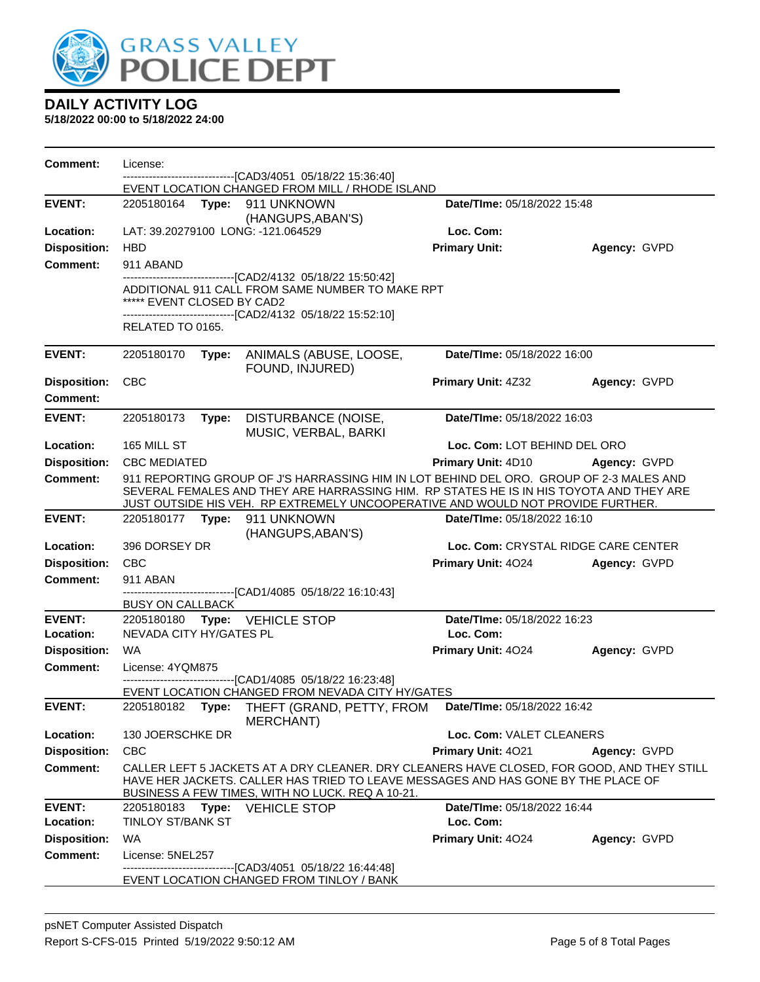

| <b>Comment:</b>     | License:                   |                                                                                                                                                                                                                                                                       |                              |                                     |
|---------------------|----------------------------|-----------------------------------------------------------------------------------------------------------------------------------------------------------------------------------------------------------------------------------------------------------------------|------------------------------|-------------------------------------|
|                     |                            | ----------------[CAD3/4051_05/18/22 15:36:40]<br>EVENT LOCATION CHANGED FROM MILL / RHODE ISLAND                                                                                                                                                                      |                              |                                     |
| <b>EVENT:</b>       |                            | 2205180164 Type: 911 UNKNOWN<br>(HANGUPS, ABAN'S)                                                                                                                                                                                                                     | Date/TIme: 05/18/2022 15:48  |                                     |
| Location:           |                            | LAT: 39.20279100 LONG: -121.064529                                                                                                                                                                                                                                    | Loc. Com:                    |                                     |
| <b>Disposition:</b> | <b>HBD</b>                 |                                                                                                                                                                                                                                                                       | <b>Primary Unit:</b>         | Agency: GVPD                        |
| <b>Comment:</b>     | 911 ABAND                  |                                                                                                                                                                                                                                                                       |                              |                                     |
|                     | ***** EVENT CLOSED BY CAD2 | ------------------[CAD2/4132 05/18/22 15:50:42]<br>ADDITIONAL 911 CALL FROM SAME NUMBER TO MAKE RPT                                                                                                                                                                   |                              |                                     |
|                     | RELATED TO 0165.           | -------------------------------[CAD2/4132 05/18/22 15:52:10]                                                                                                                                                                                                          |                              |                                     |
| <b>EVENT:</b>       | 2205180170                 | Type: ANIMALS (ABUSE, LOOSE,<br>FOUND, INJURED)                                                                                                                                                                                                                       | Date/TIme: 05/18/2022 16:00  |                                     |
| <b>Disposition:</b> | <b>CBC</b>                 |                                                                                                                                                                                                                                                                       | <b>Primary Unit: 4Z32</b>    | Agency: GVPD                        |
| <b>Comment:</b>     |                            |                                                                                                                                                                                                                                                                       |                              |                                     |
| <b>EVENT:</b>       | 2205180173                 | Type: DISTURBANCE (NOISE,<br>MUSIC, VERBAL, BARKI                                                                                                                                                                                                                     | Date/TIme: 05/18/2022 16:03  |                                     |
| Location:           | 165 MILL ST                |                                                                                                                                                                                                                                                                       | Loc. Com: LOT BEHIND DEL ORO |                                     |
| <b>Disposition:</b> | <b>CBC MEDIATED</b>        |                                                                                                                                                                                                                                                                       | <b>Primary Unit: 4D10</b>    | Agency: GVPD                        |
| <b>Comment:</b>     |                            | 911 REPORTING GROUP OF J'S HARRASSING HIM IN LOT BEHIND DEL ORO. GROUP OF 2-3 MALES AND<br>SEVERAL FEMALES AND THEY ARE HARRASSING HIM. RP STATES HE IS IN HIS TOYOTA AND THEY ARE<br>JUST OUTSIDE HIS VEH. RP EXTREMELY UNCOOPERATIVE AND WOULD NOT PROVIDE FURTHER. |                              |                                     |
| <b>EVENT:</b>       |                            | 2205180177 Type: 911 UNKNOWN<br>(HANGUPS, ABAN'S)                                                                                                                                                                                                                     | Date/TIme: 05/18/2022 16:10  |                                     |
| Location:           | 396 DORSEY DR              |                                                                                                                                                                                                                                                                       |                              | Loc. Com: CRYSTAL RIDGE CARE CENTER |
| <b>Disposition:</b> | CBC                        |                                                                                                                                                                                                                                                                       | Primary Unit: 4024           | Agency: GVPD                        |
| <b>Comment:</b>     | 911 ABAN                   |                                                                                                                                                                                                                                                                       |                              |                                     |
|                     | <b>BUSY ON CALLBACK</b>    | ---------------------------------[CAD1/4085_05/18/22_16:10:43]                                                                                                                                                                                                        |                              |                                     |
| <b>EVENT:</b>       |                            | 2205180180 Type: VEHICLE STOP                                                                                                                                                                                                                                         | Date/TIme: 05/18/2022 16:23  |                                     |
| Location:           | NEVADA CITY HY/GATES PL    |                                                                                                                                                                                                                                                                       | Loc. Com:                    |                                     |
| <b>Disposition:</b> | <b>WA</b>                  |                                                                                                                                                                                                                                                                       | Primary Unit: 4024           | Agency: GVPD                        |
| <b>Comment:</b>     | License: 4YQM875           |                                                                                                                                                                                                                                                                       |                              |                                     |
|                     |                            | ------------------------[CAD1/4085 05/18/22 16:23:48]<br>EVENT LOCATION CHANGED FROM NEVADA CITY HY/GATES                                                                                                                                                             |                              |                                     |
| <b>EVENT:</b>       |                            | 2205180182 Type: THEFT (GRAND, PETTY, FROM Date/Time: 05/18/2022 16:42<br><b>MERCHANT</b> )                                                                                                                                                                           |                              |                                     |
| Location:           | 130 JOERSCHKE DR           |                                                                                                                                                                                                                                                                       | Loc. Com: VALET CLEANERS     |                                     |
| <b>Disposition:</b> | <b>CBC</b>                 |                                                                                                                                                                                                                                                                       | Primary Unit: 4021           | Agency: GVPD                        |
| <b>Comment:</b>     |                            | CALLER LEFT 5 JACKETS AT A DRY CLEANER. DRY CLEANERS HAVE CLOSED, FOR GOOD, AND THEY STILL<br>HAVE HER JACKETS. CALLER HAS TRIED TO LEAVE MESSAGES AND HAS GONE BY THE PLACE OF<br>BUSINESS A FEW TIMES, WITH NO LUCK. REQ A 10-21.                                   |                              |                                     |
| <b>EVENT:</b>       |                            | 2205180183 Type: VEHICLE STOP                                                                                                                                                                                                                                         | Date/TIme: 05/18/2022 16:44  |                                     |
| Location:           | <b>TINLOY ST/BANK ST</b>   |                                                                                                                                                                                                                                                                       | Loc. Com:                    |                                     |
| <b>Disposition:</b> | <b>WA</b>                  |                                                                                                                                                                                                                                                                       | Primary Unit: 4024           | Agency: GVPD                        |
| Comment:            | License: 5NEL257           | -------------------------[CAD3/4051_05/18/22 16:44:48]                                                                                                                                                                                                                |                              |                                     |
|                     |                            | EVENT LOCATION CHANGED FROM TINLOY / BANK                                                                                                                                                                                                                             |                              |                                     |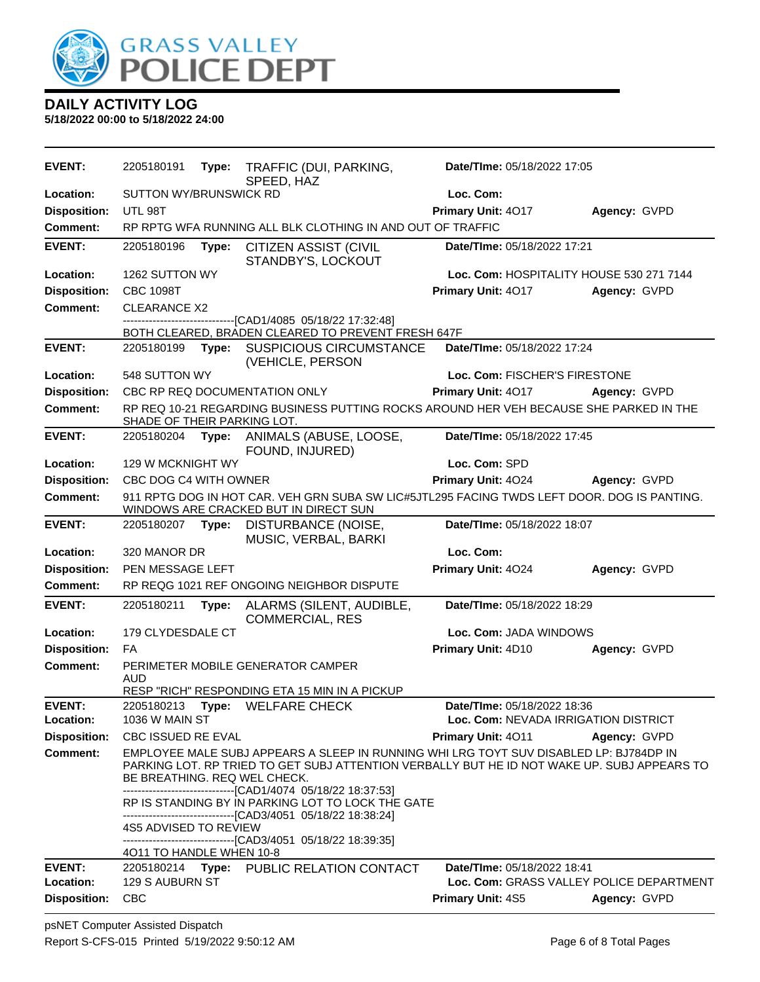

| EVENT:              | 2205180191                                                                                                                           | Type: | TRAFFIC (DUI, PARKING,<br>SPEED, HAZ                                                                                                                                                                                                                 | Date/TIme: 05/18/2022 17:05              |              |
|---------------------|--------------------------------------------------------------------------------------------------------------------------------------|-------|------------------------------------------------------------------------------------------------------------------------------------------------------------------------------------------------------------------------------------------------------|------------------------------------------|--------------|
| Location:           | <b>SUTTON WY/BRUNSWICK RD</b>                                                                                                        |       |                                                                                                                                                                                                                                                      | Loc. Com:                                |              |
| <b>Disposition:</b> | UTL 98T                                                                                                                              |       |                                                                                                                                                                                                                                                      | Primary Unit: 4017                       | Agency: GVPD |
| Comment:            |                                                                                                                                      |       | RP RPTG WFA RUNNING ALL BLK CLOTHING IN AND OUT OF TRAFFIC                                                                                                                                                                                           |                                          |              |
| <b>EVENT:</b>       | 2205180196                                                                                                                           | Type: | <b>CITIZEN ASSIST (CIVIL</b><br>STANDBY'S, LOCKOUT                                                                                                                                                                                                   | Date/TIme: 05/18/2022 17:21              |              |
| Location:           | 1262 SUTTON WY                                                                                                                       |       |                                                                                                                                                                                                                                                      | Loc. Com: HOSPITALITY HOUSE 530 271 7144 |              |
| <b>Disposition:</b> | <b>CBC 1098T</b>                                                                                                                     |       |                                                                                                                                                                                                                                                      | Primary Unit: 4017                       | Agency: GVPD |
| <b>Comment:</b>     | <b>CLEARANCE X2</b>                                                                                                                  |       |                                                                                                                                                                                                                                                      |                                          |              |
|                     |                                                                                                                                      |       | -------------------[CAD1/4085 05/18/22 17:32:48]<br>BOTH CLEARED, BRADEN CLEARED TO PREVENT FRESH 647F                                                                                                                                               |                                          |              |
| <b>EVENT:</b>       | 2205180199                                                                                                                           | Type: | <b>SUSPICIOUS CIRCUMSTANCE</b><br>(VEHICLE, PERSON                                                                                                                                                                                                   | Date/TIme: 05/18/2022 17:24              |              |
| Location:           | 548 SUTTON WY                                                                                                                        |       |                                                                                                                                                                                                                                                      | Loc. Com: FISCHER'S FIRESTONE            |              |
| <b>Disposition:</b> |                                                                                                                                      |       | CBC RP REQ DOCUMENTATION ONLY                                                                                                                                                                                                                        | Primary Unit: 4017                       | Agency: GVPD |
| <b>Comment:</b>     | SHADE OF THEIR PARKING LOT.                                                                                                          |       | RP REQ 10-21 REGARDING BUSINESS PUTTING ROCKS AROUND HER VEH BECAUSE SHE PARKED IN THE                                                                                                                                                               |                                          |              |
| <b>EVENT:</b>       | 2205180204                                                                                                                           | Type: | ANIMALS (ABUSE, LOOSE,<br>FOUND, INJURED)                                                                                                                                                                                                            | Date/TIme: 05/18/2022 17:45              |              |
| Location:           | 129 W MCKNIGHT WY                                                                                                                    |       |                                                                                                                                                                                                                                                      | Loc. Com: SPD                            |              |
| <b>Disposition:</b> | CBC DOG C4 WITH OWNER                                                                                                                |       |                                                                                                                                                                                                                                                      | Primary Unit: 4024                       | Agency: GVPD |
| <b>Comment:</b>     | 911 RPTG DOG IN HOT CAR. VEH GRN SUBA SW LIC#5JTL295 FACING TWDS LEFT DOOR. DOG IS PANTING.<br>WINDOWS ARE CRACKED BUT IN DIRECT SUN |       |                                                                                                                                                                                                                                                      |                                          |              |
| <b>EVENT:</b>       | 2205180207 Type:                                                                                                                     |       | DISTURBANCE (NOISE,<br>MUSIC, VERBAL, BARKI                                                                                                                                                                                                          | Date/TIme: 05/18/2022 18:07              |              |
| Location:           | 320 MANOR DR                                                                                                                         |       |                                                                                                                                                                                                                                                      | Loc. Com:                                |              |
| <b>Disposition:</b> | PEN MESSAGE LEFT                                                                                                                     |       |                                                                                                                                                                                                                                                      | Primary Unit: 4024                       | Agency: GVPD |
| <b>Comment:</b>     |                                                                                                                                      |       | RP REQG 1021 REF ONGOING NEIGHBOR DISPUTE                                                                                                                                                                                                            |                                          |              |
| <b>EVENT:</b>       | 2205180211                                                                                                                           | Type: | ALARMS (SILENT, AUDIBLE,<br><b>COMMERCIAL, RES</b>                                                                                                                                                                                                   | Date/TIme: 05/18/2022 18:29              |              |
| Location:           | 179 CLYDESDALE CT                                                                                                                    |       |                                                                                                                                                                                                                                                      | Loc. Com: JADA WINDOWS                   |              |
| <b>Disposition:</b> | <b>FA</b>                                                                                                                            |       |                                                                                                                                                                                                                                                      | Primary Unit: 4D10                       | Agency: GVPD |
| Comment:            | <b>AUD</b>                                                                                                                           |       | PERIMETER MOBILE GENERATOR CAMPER<br>RESP "RICH" RESPONDING ETA 15 MIN IN A PICKUP                                                                                                                                                                   |                                          |              |
| <b>EVENT:</b>       | 2205180213                                                                                                                           |       | Type: WELFARE CHECK                                                                                                                                                                                                                                  | Date/TIme: 05/18/2022 18:36              |              |
| Location:           | 1036 W MAIN ST                                                                                                                       |       |                                                                                                                                                                                                                                                      | Loc. Com: NEVADA IRRIGATION DISTRICT     |              |
| <b>Disposition:</b> | <b>CBC ISSUED RE EVAL</b>                                                                                                            |       |                                                                                                                                                                                                                                                      | <b>Primary Unit: 4011</b>                | Agency: GVPD |
| Comment:            | BE BREATHING. REQ WEL CHECK.                                                                                                         |       | EMPLOYEE MALE SUBJ APPEARS A SLEEP IN RUNNING WHI LRG TOYT SUV DISABLED LP: BJ784DP IN<br>PARKING LOT. RP TRIED TO GET SUBJ ATTENTION VERBALLY BUT HE ID NOT WAKE UP. SUBJ APPEARS TO<br>------------------------------[CAD1/4074_05/18/22 18:37:53] |                                          |              |
|                     |                                                                                                                                      |       | RP IS STANDING BY IN PARKING LOT TO LOCK THE GATE<br>-------------------------------[CAD3/4051 05/18/22 18:38:24]                                                                                                                                    |                                          |              |
|                     | 4S5 ADVISED TO REVIEW                                                                                                                |       | ------------------------------[CAD3/4051 05/18/22 18:39:35]                                                                                                                                                                                          |                                          |              |
| <b>EVENT:</b>       | 4011 TO HANDLE WHEN 10-8                                                                                                             |       | 2205180214 Type: PUBLIC RELATION CONTACT                                                                                                                                                                                                             | Date/TIme: 05/18/2022 18:41              |              |
| Location:           | 129 S AUBURN ST                                                                                                                      |       |                                                                                                                                                                                                                                                      | Loc. Com: GRASS VALLEY POLICE DEPARTMENT |              |
| <b>Disposition:</b> | <b>CBC</b>                                                                                                                           |       |                                                                                                                                                                                                                                                      | Primary Unit: 4S5                        | Agency: GVPD |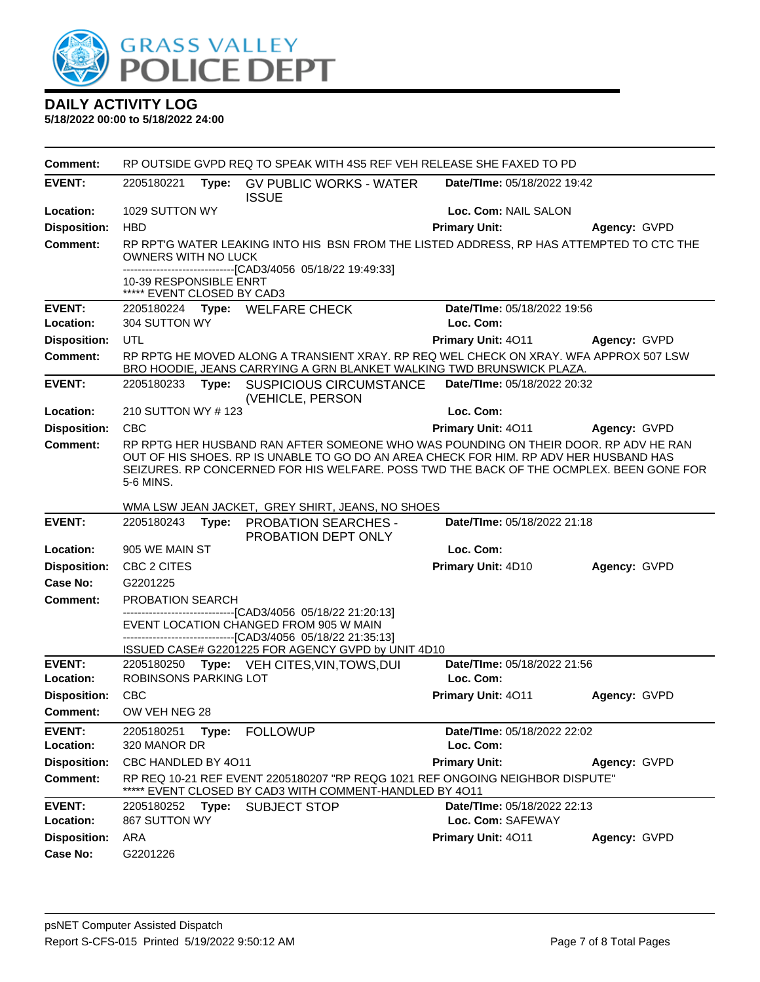

| <b>Comment:</b>     | RP OUTSIDE GVPD REQ TO SPEAK WITH 4S5 REF VEH RELEASE SHE FAXED TO PD |       |                                                                                                                                                                                                                                                                         |                                    |              |
|---------------------|-----------------------------------------------------------------------|-------|-------------------------------------------------------------------------------------------------------------------------------------------------------------------------------------------------------------------------------------------------------------------------|------------------------------------|--------------|
| <b>EVENT:</b>       | 2205180221                                                            |       | Type: GV PUBLIC WORKS - WATER<br><b>ISSUE</b>                                                                                                                                                                                                                           | <b>Date/Time: 05/18/2022 19:42</b> |              |
| Location:           | 1029 SUTTON WY                                                        |       |                                                                                                                                                                                                                                                                         | Loc. Com: NAIL SALON               |              |
| <b>Disposition:</b> | <b>HBD</b>                                                            |       |                                                                                                                                                                                                                                                                         | <b>Primary Unit:</b>               | Agency: GVPD |
| <b>Comment:</b>     | OWNERS WITH NO LUCK                                                   |       | RP RPT'G WATER LEAKING INTO HIS BSN FROM THE LISTED ADDRESS, RP HAS ATTEMPTED TO CTC THE                                                                                                                                                                                |                                    |              |
|                     | 10-39 RESPONSIBLE ENRT<br>***** EVENT CLOSED BY CAD3                  |       | -------------------------------[CAD3/4056 05/18/22 19:49:33]                                                                                                                                                                                                            |                                    |              |
| <b>EVENT:</b>       |                                                                       |       | 2205180224 Type: WELFARE CHECK                                                                                                                                                                                                                                          | Date/TIme: 05/18/2022 19:56        |              |
| Location:           | 304 SUTTON WY                                                         |       |                                                                                                                                                                                                                                                                         | Loc. Com:                          |              |
| <b>Disposition:</b> | UTL                                                                   |       |                                                                                                                                                                                                                                                                         | Primary Unit: 4011                 | Agency: GVPD |
| <b>Comment:</b>     |                                                                       |       | RP RPTG HE MOVED ALONG A TRANSIENT XRAY. RP REQ WEL CHECK ON XRAY. WFA APPROX 507 LSW<br>BRO HOODIE, JEANS CARRYING A GRN BLANKET WALKING TWD BRUNSWICK PLAZA.                                                                                                          |                                    |              |
| <b>EVENT:</b>       | 2205180233                                                            |       | Type: SUSPICIOUS CIRCUMSTANCE<br>(VEHICLE, PERSON                                                                                                                                                                                                                       | Date/TIme: 05/18/2022 20:32        |              |
| Location:           | 210 SUTTON WY #123                                                    |       |                                                                                                                                                                                                                                                                         | Loc. Com:                          |              |
| <b>Disposition:</b> | <b>CBC</b>                                                            |       |                                                                                                                                                                                                                                                                         | Primary Unit: 4011                 | Agency: GVPD |
| Comment:            | 5-6 MINS.                                                             |       | RP RPTG HER HUSBAND RAN AFTER SOMEONE WHO WAS POUNDING ON THEIR DOOR. RP ADV HE RAN<br>OUT OF HIS SHOES. RP IS UNABLE TO GO DO AN AREA CHECK FOR HIM. RP ADV HER HUSBAND HAS<br>SEIZURES. RP CONCERNED FOR HIS WELFARE. POSS TWD THE BACK OF THE OCMPLEX. BEEN GONE FOR |                                    |              |
|                     |                                                                       |       | WMA LSW JEAN JACKET, GREY SHIRT, JEANS, NO SHOES                                                                                                                                                                                                                        |                                    |              |
| <b>EVENT:</b>       | 2205180243                                                            |       | Type: PROBATION SEARCHES -<br>PROBATION DEPT ONLY                                                                                                                                                                                                                       | Date/TIme: 05/18/2022 21:18        |              |
| Location:           | 905 WE MAIN ST                                                        |       |                                                                                                                                                                                                                                                                         | Loc. Com:                          |              |
| <b>Disposition:</b> | CBC 2 CITES                                                           |       |                                                                                                                                                                                                                                                                         | Primary Unit: 4D10                 | Agency: GVPD |
| <b>Case No:</b>     | G2201225                                                              |       |                                                                                                                                                                                                                                                                         |                                    |              |
| Comment:            | PROBATION SEARCH                                                      |       |                                                                                                                                                                                                                                                                         |                                    |              |
|                     |                                                                       |       | -------------------------------[CAD3/4056_05/18/22 21:20:13]<br>EVENT LOCATION CHANGED FROM 905 W MAIN<br>-------------------------------[CAD3/4056_05/18/22 21:35:13]                                                                                                  |                                    |              |
| <b>EVENT:</b>       |                                                                       |       | ISSUED CASE# G2201225 FOR AGENCY GVPD by UNIT 4D10<br>2205180250 Type: VEH CITES, VIN, TOWS, DUI                                                                                                                                                                        | Date/TIme: 05/18/2022 21:56        |              |
| Location:           | ROBINSONS PARKING LOT                                                 |       |                                                                                                                                                                                                                                                                         | Loc. Com:                          |              |
| <b>Disposition:</b> | <b>CBC</b>                                                            |       |                                                                                                                                                                                                                                                                         | Primary Unit: 4011                 | Agency: GVPD |
| <b>Comment:</b>     | OW VEH NEG 28                                                         |       |                                                                                                                                                                                                                                                                         |                                    |              |
| <b>EVENT:</b>       | 2205180251                                                            | Type: | <b>FOLLOWUP</b>                                                                                                                                                                                                                                                         | Date/TIme: 05/18/2022 22:02        |              |
| Location:           | 320 MANOR DR                                                          |       |                                                                                                                                                                                                                                                                         | Loc. Com:                          |              |
| <b>Disposition:</b> | CBC HANDLED BY 4011                                                   |       |                                                                                                                                                                                                                                                                         | <b>Primary Unit:</b>               | Agency: GVPD |
| <b>Comment:</b>     |                                                                       |       | RP REQ 10-21 REF EVENT 2205180207 "RP REQG 1021 REF ONGOING NEIGHBOR DISPUTE"<br>***** EVENT CLOSED BY CAD3 WITH COMMENT-HANDLED BY 4011                                                                                                                                |                                    |              |
| <b>EVENT:</b>       | 2205180252 Type:                                                      |       | <b>SUBJECT STOP</b>                                                                                                                                                                                                                                                     | Date/TIme: 05/18/2022 22:13        |              |
| Location:           | 867 SUTTON WY                                                         |       |                                                                                                                                                                                                                                                                         | Loc. Com: SAFEWAY                  |              |
| <b>Disposition:</b> | ARA                                                                   |       |                                                                                                                                                                                                                                                                         | Primary Unit: 4011                 | Agency: GVPD |
| <b>Case No:</b>     | G2201226                                                              |       |                                                                                                                                                                                                                                                                         |                                    |              |